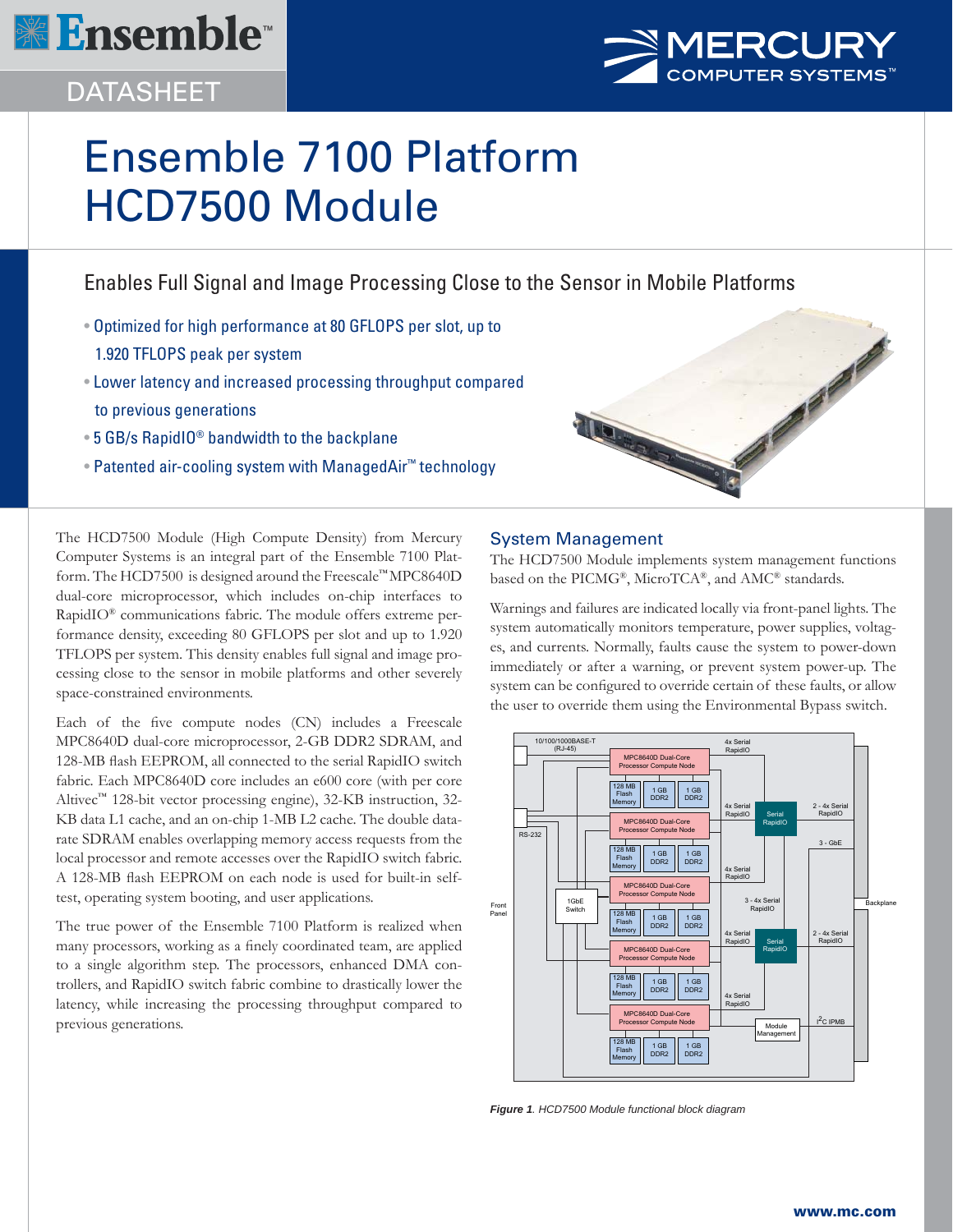

## DATASHEET



No of the Contract of the Contract of

# Ensemble 7100 Platform HCD7500 Module

Enables Full Signal and Image Processing Close to the Sensor in Mobile Platforms

- Optimized for high performance at 80 GFLOPS per slot, up to 1.920 TFLOPS peak per system
- Lower latency and increased processing throughput compared to previous generations
- 5 GB/s RapidIO® bandwidth to the backplane
- Patented air-cooling system with ManagedAir™ technology

The HCD7500 Module (High Compute Density) from Mercury Computer Systems is an integral part of the Ensemble 7100 Platform. The HCD7500 is designed around the Freescale™ MPC8640D dual-core microprocessor, which includes on-chip interfaces to RapidIO® communications fabric. The module offers extreme performance density, exceeding 80 GFLOPS per slot and up to 1.920 TFLOPS per system. This density enables full signal and image processing close to the sensor in mobile platforms and other severely space-constrained environments.

Each of the five compute nodes (CN) includes a Freescale MPC8640D dual-core microprocessor, 2-GB DDR2 SDRAM, and 128-MB flash EEPROM, all connected to the serial RapidIO switch fabric. Each MPC8640D core includes an e600 core (with per core Altivec™ 128-bit vector processing engine), 32-KB instruction, 32- KB data L1 cache, and an on-chip 1-MB L2 cache. The double datarate SDRAM enables overlapping memory access requests from the local processor and remote accesses over the RapidIO switch fabric. A 128-MB flash EEPROM on each node is used for built-in selftest, operating system booting, and user applications.

The true power of the Ensemble 7100 Platform is realized when many processors, working as a finely coordinated team, are applied to a single algorithm step. The processors, enhanced DMA controllers, and RapidIO switch fabric combine to drastically lower the latency, while increasing the processing throughput compared to previous generations.

## System Management

TION

The HCD7500 Module implements system management functions based on the PICMG®, MicroTCA®, and AMC® standards.

Warnings and failures are indicated locally via front-panel lights. The system automatically monitors temperature, power supplies, voltages, and currents. Normally, faults cause the system to power-down immediately or after a warning, or prevent system power-up. The system can be configured to override certain of these faults, or allow the user to override them using the Environmental Bypass switch.



*Figure 1. HCD7500 Module functional block diagram*